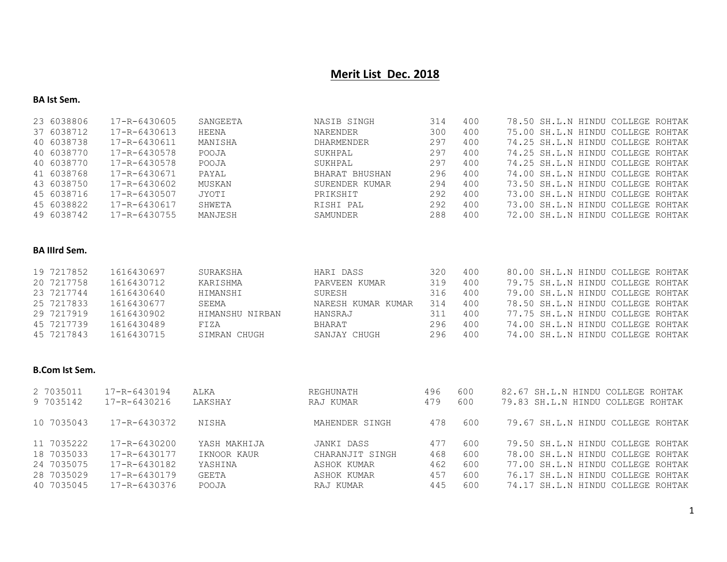# **Merit List Dec. 2018**

## **BA Ist Sem.**

| 23 6038806 | 17-R-6430605       | SANGEETA | NASIB SINGH     | 314 | 400 |  | 78.50 SH.L.N HINDU COLLEGE ROHTAK |  |
|------------|--------------------|----------|-----------------|-----|-----|--|-----------------------------------|--|
| 37 6038712 | $17 - R - 6430613$ | HEENA    | <b>NARENDER</b> | 300 | 400 |  | 75.00 SH.L.N HINDU COLLEGE ROHTAK |  |
| 40 6038738 | 17-R-6430611       | MANISHA  | DHARMENDER      | 297 | 400 |  | 74.25 SH.L.N HINDU COLLEGE ROHTAK |  |
| 40 6038770 | 17-R-6430578       | POOJA    | SUKHPAL         | 297 | 400 |  | 74.25 SH.L.N HINDU COLLEGE ROHTAK |  |
| 40 6038770 | 17-R-6430578       | POOJA    | SUKHPAL         | 297 | 400 |  | 74.25 SH.L.N HINDU COLLEGE ROHTAK |  |
| 41 6038768 | 17-R-6430671       | PAYAL    | BHARAT BHUSHAN  | 296 | 400 |  | 74.00 SH.L.N HINDU COLLEGE ROHTAK |  |
| 43 6038750 | 17-R-6430602       | MUSKAN   | SURENDER KUMAR  | 294 | 400 |  | 73.50 SH.L.N HINDU COLLEGE ROHTAK |  |
| 45 6038716 | 17-R-6430507       | JYOTI    | PRIKSHIT        | 292 | 400 |  | 73.00 SH.L.N HINDU COLLEGE ROHTAK |  |
| 45 6038822 | 17-R-6430617       | SHWETA   | RISHI PAL       | 292 | 400 |  | 73.00 SH.L.N HINDU COLLEGE ROHTAK |  |
| 49 6038742 | 17-R-6430755       | MANJESH  | SAMUNDER        | 288 | 400 |  | 72.00 SH.L.N HINDU COLLEGE ROHTAK |  |

## **BA IIIrd Sem.**

| 19 7217852 | 1616430697 | SURAKSHA        | HARI DASS          | 320 | 400 |  | 80.00 SH.L.N HINDU COLLEGE ROHTAK |  |
|------------|------------|-----------------|--------------------|-----|-----|--|-----------------------------------|--|
| 20 7217758 | 1616430712 | KARISHMA        | PARVEEN KUMAR      | 319 | 400 |  | 79.75 SH.L.N HINDU COLLEGE ROHTAK |  |
| 23 7217744 | 1616430640 | HIMANSHI        | SURESH             | 316 | 400 |  | 79.00 SH.L.N HINDU COLLEGE ROHTAK |  |
| 25 7217833 | 1616430677 | SEEMA           | NARESH KUMAR KUMAR | 314 | 400 |  | 78.50 SH.L.N HINDU COLLEGE ROHTAK |  |
| 29 7217919 | 1616430902 | HIMANSHU NIRBAN | HANSRAJ            | 311 | 400 |  | 77.75 SH.L.N HINDU COLLEGE ROHTAK |  |
| 45 7217739 | 1616430489 | FIZA            | BHARAT             | 296 | 400 |  | 74.00 SH.L.N HINDU COLLEGE ROHTAK |  |
| 45 7217843 | 1616430715 | SIMRAN CHUGH    | SANJAY CHUGH       | 296 | 400 |  | 74.00 SH.L.N HINDU COLLEGE ROHTAK |  |

# **B.Com Ist Sem.**

| 2 7035011  | 17-R-6430194 | ALKA         | REGHUNATH       | 496 | 600 | 82.67 SH.L.N HINDU COLLEGE ROHTAK |
|------------|--------------|--------------|-----------------|-----|-----|-----------------------------------|
| 9 7035142  | 17-R-6430216 | LAKSHAY      | RAJ KUMAR       | 479 | 600 | 79.83 SH.L.N HINDU COLLEGE ROHTAK |
| 10 7035043 | 17-R-6430372 | NISHA        | MAHENDER SINGH  | 478 | 600 | 79.67 SH.L.N HINDU COLLEGE ROHTAK |
| 11 7035222 | 17-R-6430200 | YASH MAKHIJA | JANKI DASS      | 477 | 600 | 79.50 SH.L.N HINDU COLLEGE ROHTAK |
| 18 7035033 | 17-R-6430177 | IKNOOR KAUR  | CHARANJIT SINGH | 468 | 600 | 78.00 SH.L.N HINDU COLLEGE ROHTAK |
| 24 7035075 | 17-R-6430182 | YASHINA      | ASHOK KUMAR     | 462 | 600 | 77.00 SH.L.N HINDU COLLEGE ROHTAK |
| 28 7035029 | 17-R-6430179 | GEETA        | ASHOK KUMAR     | 457 | 600 | 76.17 SH.L.N HINDU COLLEGE ROHTAK |
| 40 7035045 | 17-R-6430376 | POOJA        | RAJ KUMAR       | 445 | 600 | 74.17 SH.L.N HINDU COLLEGE ROHTAK |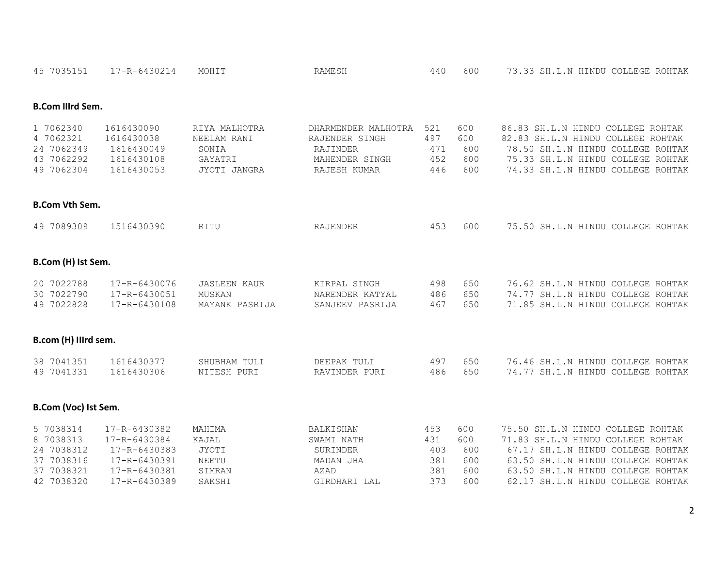| 45 7035151                                                                     | 17-R-6430214                                                                                 | MOHIT                                                            | <b>RAMESH</b>                                                                       | 440                                    | 600                                    | 73.33 SH.L.N HINDU COLLEGE ROHTAK                                                                                                                                                                                          |
|--------------------------------------------------------------------------------|----------------------------------------------------------------------------------------------|------------------------------------------------------------------|-------------------------------------------------------------------------------------|----------------------------------------|----------------------------------------|----------------------------------------------------------------------------------------------------------------------------------------------------------------------------------------------------------------------------|
| <b>B.Com Illrd Sem.</b>                                                        |                                                                                              |                                                                  |                                                                                     |                                        |                                        |                                                                                                                                                                                                                            |
| 1 7062340<br>4 7062321<br>24 7062349<br>43 7062292<br>49 7062304               | 1616430090<br>1616430038<br>1616430049<br>1616430108<br>1616430053                           | RIYA MALHOTRA<br>NEELAM RANI<br>SONIA<br>GAYATRI<br>JYOTI JANGRA | DHARMENDER MALHOTRA<br>RAJENDER SINGH<br>RAJINDER<br>MAHENDER SINGH<br>RAJESH KUMAR | 521<br>497<br>471<br>452<br>446        | 600<br>600<br>600<br>600<br>600        | 86.83 SH.L.N HINDU COLLEGE ROHTAK<br>82.83 SH.L.N HINDU COLLEGE ROHTAK<br>78.50 SH.L.N HINDU COLLEGE ROHTAK<br>75.33 SH.L.N HINDU COLLEGE ROHTAK<br>74.33 SH.L.N HINDU COLLEGE ROHTAK                                      |
| <b>B.Com Vth Sem.</b>                                                          |                                                                                              |                                                                  |                                                                                     |                                        |                                        |                                                                                                                                                                                                                            |
| 49 7089309                                                                     | 1516430390                                                                                   | RITU                                                             | RAJENDER                                                                            | 453                                    | 600                                    | 75.50 SH.L.N HINDU COLLEGE ROHTAK                                                                                                                                                                                          |
| B.Com (H) Ist Sem.                                                             |                                                                                              |                                                                  |                                                                                     |                                        |                                        |                                                                                                                                                                                                                            |
| 20 7022788<br>30 7022790<br>49 7022828                                         | 17-R-6430076<br>17-R-6430051<br>17-R-6430108                                                 | <b>JASLEEN KAUR</b><br>MUSKAN<br>MAYANK PASRIJA                  | KIRPAL SINGH<br>NARENDER KATYAL<br>SANJEEV PASRIJA                                  | 498<br>486<br>467                      | 650<br>650<br>650                      | 76.62 SH.L.N HINDU COLLEGE ROHTAK<br>74.77 SH.L.N HINDU COLLEGE ROHTAK<br>71.85 SH.L.N HINDU COLLEGE ROHTAK                                                                                                                |
| B.com (H) Illrd sem.                                                           |                                                                                              |                                                                  |                                                                                     |                                        |                                        |                                                                                                                                                                                                                            |
| 38 7041351<br>49 7041331                                                       | 1616430377<br>1616430306                                                                     | SHUBHAM TULI<br>NITESH PURI                                      | DEEPAK TULI<br>RAVINDER PURI                                                        | 497<br>486                             | 650<br>650                             | 76.46 SH.L.N HINDU COLLEGE ROHTAK<br>74.77 SH.L.N HINDU COLLEGE ROHTAK                                                                                                                                                     |
| B.Com (Voc) Ist Sem.                                                           |                                                                                              |                                                                  |                                                                                     |                                        |                                        |                                                                                                                                                                                                                            |
| 5 7038314<br>8 7038313<br>24 7038312<br>37 7038316<br>37 7038321<br>42 7038320 | 17-R-6430382<br>17-R-6430384<br>17-R-6430383<br>17-R-6430391<br>17-R-6430381<br>17-R-6430389 | MAHIMA<br>KAJAL<br>JYOTI<br>NEETU<br>SIMRAN<br>SAKSHI            | <b>BALKISHAN</b><br>SWAMI NATH<br>SURINDER<br>MADAN JHA<br>AZAD<br>GIRDHARI LAL     | 453<br>431<br>403<br>381<br>381<br>373 | 600<br>600<br>600<br>600<br>600<br>600 | 75.50 SH.L.N HINDU COLLEGE ROHTAK<br>71.83 SH.L.N HINDU COLLEGE ROHTAK<br>67.17 SH.L.N HINDU COLLEGE ROHTAK<br>63.50 SH.L.N HINDU COLLEGE ROHTAK<br>63.50 SH.L.N HINDU COLLEGE ROHTAK<br>62.17 SH.L.N HINDU COLLEGE ROHTAK |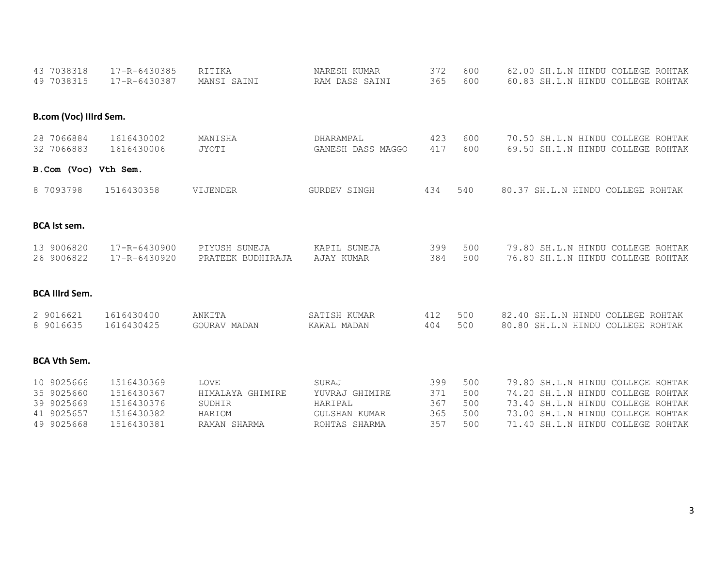| 43 7038318               | 17-R-6430385             | RITIKA                 | NARESH KUMAR                          | 372        | 600        | 62.00 SH.L.N HINDU COLLEGE ROHTAK |
|--------------------------|--------------------------|------------------------|---------------------------------------|------------|------------|-----------------------------------|
| 49 7038315               | 17-R-6430387             | MANSI SAINI            | RAM DASS SAINI                        | 365        | 600        | 60.83 SH.L.N HINDU COLLEGE ROHTAK |
| B.com (Voc) Illrd Sem.   |                          |                        |                                       |            |            |                                   |
| 28 7066884               | 1616430002               | MANISHA                | DHARAMPAL                             | 423        | 600        | 70.50 SH.L.N HINDU COLLEGE ROHTAK |
| 32 7066883               | 1616430006               | <b>JYOTI</b>           | GANESH DASS MAGGO                     | 417        | 600        | 69.50 SH.L.N HINDU COLLEGE ROHTAK |
| B.Com (Voc) Vth Sem.     |                          |                        |                                       |            |            |                                   |
| 8 7093798                | 1516430358               | VIJENDER               | <b>GURDEV SINGH</b>                   | 434        | 540        | 80.37 SH.L.N HINDU COLLEGE ROHTAK |
| <b>BCA</b> Ist sem.      |                          |                        |                                       |            |            |                                   |
| 13 9006820               | 17-R-6430900             | PIYUSH SUNEJA          | KAPIL SUNEJA                          | 399        | 500        | 79.80 SH.L.N HINDU COLLEGE ROHTAK |
| 26 9006822               | 17-R-6430920             | PRATEEK BUDHIRAJA      | AJAY KUMAR                            | 384        | 500        | 76.80 SH.L.N HINDU COLLEGE ROHTAK |
| <b>BCA Illrd Sem.</b>    |                          |                        |                                       |            |            |                                   |
| 2 9016621                | 1616430400               | ANKITA                 | SATISH KUMAR                          | 412        | 500        | 82.40 SH.L.N HINDU COLLEGE ROHTAK |
| 8 9016635                | 1616430425               | GOURAV MADAN           | KAWAL MADAN                           | 404        | 500        | 80.80 SH.L.N HINDU COLLEGE ROHTAK |
| <b>BCA Vth Sem.</b>      |                          |                        |                                       |            |            |                                   |
| 10 9025666               | 1516430369               | LOVE                   | SURAJ                                 | 399        | 500        | 79.80 SH.L.N HINDU COLLEGE ROHTAK |
| 35 9025660               | 1516430367               | HIMALAYA GHIMIRE       | YUVRAJ GHIMIRE                        | 371        | 500        | 74.20 SH.L.N HINDU COLLEGE ROHTAK |
| 39 9025669               | 1516430376               | SUDHIR                 | HARIPAL                               | 367        | 500        | 73.40 SH.L.N HINDU COLLEGE ROHTAK |
| 41 9025657<br>49 9025668 | 1516430382<br>1516430381 | HARIOM<br>RAMAN SHARMA | <b>GULSHAN KUMAR</b><br>ROHTAS SHARMA | 365<br>357 | 500<br>500 | 73.00 SH.L.N HINDU COLLEGE ROHTAK |
|                          |                          |                        |                                       |            |            | 71.40 SH.L.N HINDU COLLEGE ROHTAK |